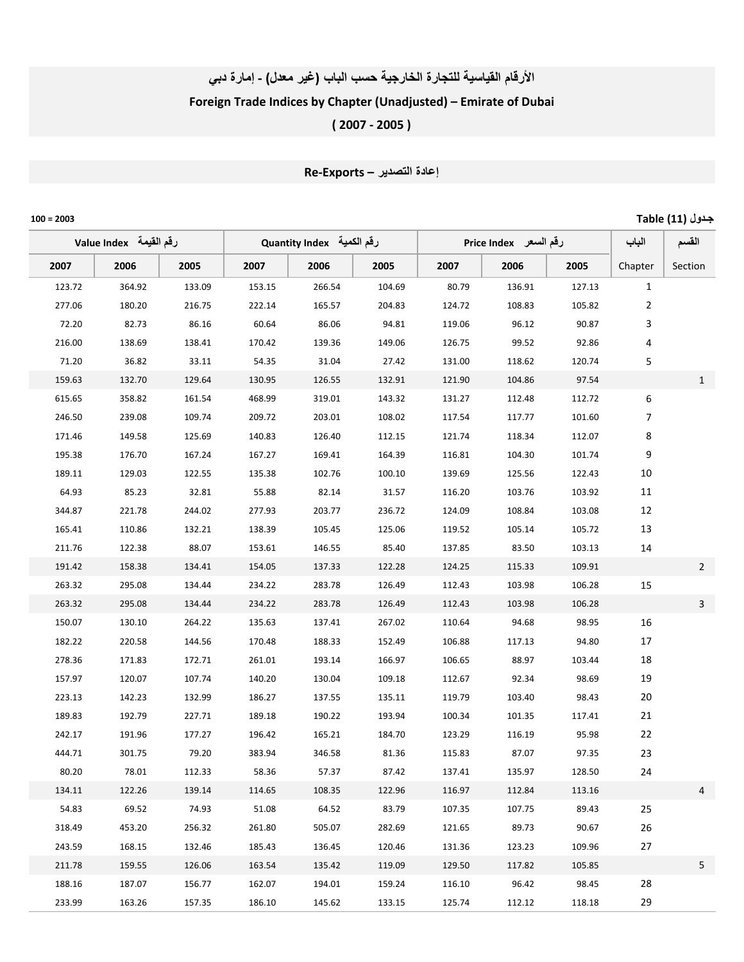## الأرقام القياسية للتجارة الخارجية حسب الباب (غير معلل) - إمارة دبي Foreign Trade Indices by Chapter (Unadjusted) – Emirate of Dubai ( 2007 ‐ 2005 )

## إعادة التصدير – Re-Exports

ـول (11) Table 2003 = 100

| لرقم القيمة   Value Index |        |        | رِقَمِ الْكَميةَ Quantity Index |        |        | رقم السعر Price Index |        | الباب  | القسم          |                |
|---------------------------|--------|--------|---------------------------------|--------|--------|-----------------------|--------|--------|----------------|----------------|
| 2007                      | 2006   | 2005   | 2007                            | 2006   | 2005   | 2007                  | 2006   | 2005   | Chapter        | Section        |
| 123.72                    | 364.92 | 133.09 | 153.15                          | 266.54 | 104.69 | 80.79                 | 136.91 | 127.13 | $\mathbf{1}$   |                |
| 277.06                    | 180.20 | 216.75 | 222.14                          | 165.57 | 204.83 | 124.72                | 108.83 | 105.82 | 2              |                |
| 72.20                     | 82.73  | 86.16  | 60.64                           | 86.06  | 94.81  | 119.06                | 96.12  | 90.87  | 3              |                |
| 216.00                    | 138.69 | 138.41 | 170.42                          | 139.36 | 149.06 | 126.75                | 99.52  | 92.86  | 4              |                |
| 71.20                     | 36.82  | 33.11  | 54.35                           | 31.04  | 27.42  | 131.00                | 118.62 | 120.74 | 5              |                |
| 159.63                    | 132.70 | 129.64 | 130.95                          | 126.55 | 132.91 | 121.90                | 104.86 | 97.54  |                | $\mathbf{1}$   |
| 615.65                    | 358.82 | 161.54 | 468.99                          | 319.01 | 143.32 | 131.27                | 112.48 | 112.72 | 6              |                |
| 246.50                    | 239.08 | 109.74 | 209.72                          | 203.01 | 108.02 | 117.54                | 117.77 | 101.60 | $\overline{7}$ |                |
| 171.46                    | 149.58 | 125.69 | 140.83                          | 126.40 | 112.15 | 121.74                | 118.34 | 112.07 | 8              |                |
| 195.38                    | 176.70 | 167.24 | 167.27                          | 169.41 | 164.39 | 116.81                | 104.30 | 101.74 | 9              |                |
| 189.11                    | 129.03 | 122.55 | 135.38                          | 102.76 | 100.10 | 139.69                | 125.56 | 122.43 | 10             |                |
| 64.93                     | 85.23  | 32.81  | 55.88                           | 82.14  | 31.57  | 116.20                | 103.76 | 103.92 | 11             |                |
| 344.87                    | 221.78 | 244.02 | 277.93                          | 203.77 | 236.72 | 124.09                | 108.84 | 103.08 | 12             |                |
| 165.41                    | 110.86 | 132.21 | 138.39                          | 105.45 | 125.06 | 119.52                | 105.14 | 105.72 | 13             |                |
| 211.76                    | 122.38 | 88.07  | 153.61                          | 146.55 | 85.40  | 137.85                | 83.50  | 103.13 | 14             |                |
| 191.42                    | 158.38 | 134.41 | 154.05                          | 137.33 | 122.28 | 124.25                | 115.33 | 109.91 |                | $\overline{2}$ |
| 263.32                    | 295.08 | 134.44 | 234.22                          | 283.78 | 126.49 | 112.43                | 103.98 | 106.28 | 15             |                |
| 263.32                    | 295.08 | 134.44 | 234.22                          | 283.78 | 126.49 | 112.43                | 103.98 | 106.28 |                | $\mathbf{3}$   |
| 150.07                    | 130.10 | 264.22 | 135.63                          | 137.41 | 267.02 | 110.64                | 94.68  | 98.95  | 16             |                |
| 182.22                    | 220.58 | 144.56 | 170.48                          | 188.33 | 152.49 | 106.88                | 117.13 | 94.80  | 17             |                |
| 278.36                    | 171.83 | 172.71 | 261.01                          | 193.14 | 166.97 | 106.65                | 88.97  | 103.44 | 18             |                |
| 157.97                    | 120.07 | 107.74 | 140.20                          | 130.04 | 109.18 | 112.67                | 92.34  | 98.69  | 19             |                |
| 223.13                    | 142.23 | 132.99 | 186.27                          | 137.55 | 135.11 | 119.79                | 103.40 | 98.43  | 20             |                |
| 189.83                    | 192.79 | 227.71 | 189.18                          | 190.22 | 193.94 | 100.34                | 101.35 | 117.41 | 21             |                |
| 242.17                    | 191.96 | 177.27 | 196.42                          | 165.21 | 184.70 | 123.29                | 116.19 | 95.98  | 22             |                |
| 444.71                    | 301.75 | 79.20  | 383.94                          | 346.58 | 81.36  | 115.83                | 87.07  | 97.35  | 23             |                |
| 80.20                     | 78.01  | 112.33 | 58.36                           | 57.37  | 87.42  | 137.41                | 135.97 | 128.50 | 24             |                |
| 134.11                    | 122.26 | 139.14 | 114.65                          | 108.35 | 122.96 | 116.97                | 112.84 | 113.16 |                | 4              |
| 54.83                     | 69.52  | 74.93  | 51.08                           | 64.52  | 83.79  | 107.35                | 107.75 | 89.43  | 25             |                |
| 318.49                    | 453.20 | 256.32 | 261.80                          | 505.07 | 282.69 | 121.65                | 89.73  | 90.67  | 26             |                |
| 243.59                    | 168.15 | 132.46 | 185.43                          | 136.45 | 120.46 | 131.36                | 123.23 | 109.96 | 27             |                |
| 211.78                    | 159.55 | 126.06 | 163.54                          | 135.42 | 119.09 | 129.50                | 117.82 | 105.85 |                | 5              |
| 188.16                    | 187.07 | 156.77 | 162.07                          | 194.01 | 159.24 | 116.10                | 96.42  | 98.45  | 28             |                |
| 233.99                    | 163.26 | 157.35 | 186.10                          | 145.62 | 133.15 | 125.74                | 112.12 | 118.18 | 29             |                |
|                           |        |        |                                 |        |        |                       |        |        |                |                |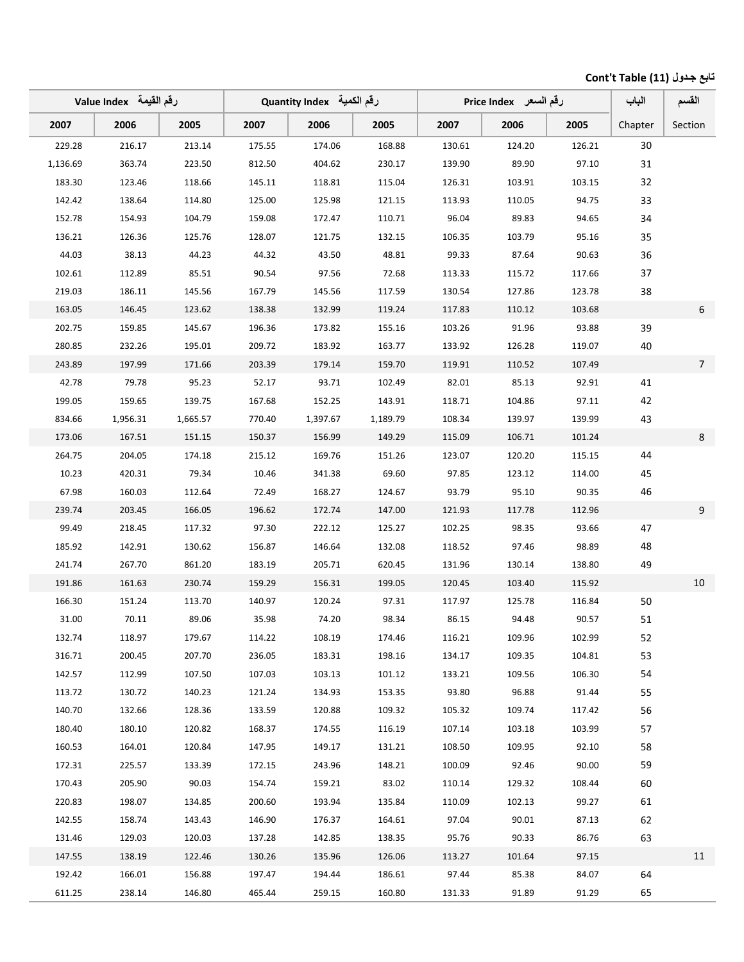## تابع جدول (11) Cont't Table

|          | لرقم القيمة   Value Index |          |        | رقم الكمية   Quantity Index |          |        | رقم السعر _ Price Index |        | الباب   | القسم          |
|----------|---------------------------|----------|--------|-----------------------------|----------|--------|-------------------------|--------|---------|----------------|
| 2007     | 2006                      | 2005     | 2007   | 2006                        | 2005     | 2007   | 2006                    | 2005   | Chapter | Section        |
| 229.28   | 216.17                    | 213.14   | 175.55 | 174.06                      | 168.88   | 130.61 | 124.20                  | 126.21 | 30      |                |
| 1,136.69 | 363.74                    | 223.50   | 812.50 | 404.62                      | 230.17   | 139.90 | 89.90                   | 97.10  | 31      |                |
| 183.30   | 123.46                    | 118.66   | 145.11 | 118.81                      | 115.04   | 126.31 | 103.91                  | 103.15 | 32      |                |
| 142.42   | 138.64                    | 114.80   | 125.00 | 125.98                      | 121.15   | 113.93 | 110.05                  | 94.75  | 33      |                |
| 152.78   | 154.93                    | 104.79   | 159.08 | 172.47                      | 110.71   | 96.04  | 89.83                   | 94.65  | 34      |                |
| 136.21   | 126.36                    | 125.76   | 128.07 | 121.75                      | 132.15   | 106.35 | 103.79                  | 95.16  | 35      |                |
| 44.03    | 38.13                     | 44.23    | 44.32  | 43.50                       | 48.81    | 99.33  | 87.64                   | 90.63  | 36      |                |
| 102.61   | 112.89                    | 85.51    | 90.54  | 97.56                       | 72.68    | 113.33 | 115.72                  | 117.66 | 37      |                |
| 219.03   | 186.11                    | 145.56   | 167.79 | 145.56                      | 117.59   | 130.54 | 127.86                  | 123.78 | 38      |                |
| 163.05   | 146.45                    | 123.62   | 138.38 | 132.99                      | 119.24   | 117.83 | 110.12                  | 103.68 |         | 6              |
| 202.75   | 159.85                    | 145.67   | 196.36 | 173.82                      | 155.16   | 103.26 | 91.96                   | 93.88  | 39      |                |
| 280.85   | 232.26                    | 195.01   | 209.72 | 183.92                      | 163.77   | 133.92 | 126.28                  | 119.07 | 40      |                |
| 243.89   | 197.99                    | 171.66   | 203.39 | 179.14                      | 159.70   | 119.91 | 110.52                  | 107.49 |         | 7 <sup>7</sup> |
| 42.78    | 79.78                     | 95.23    | 52.17  | 93.71                       | 102.49   | 82.01  | 85.13                   | 92.91  | 41      |                |
| 199.05   | 159.65                    | 139.75   | 167.68 | 152.25                      | 143.91   | 118.71 | 104.86                  | 97.11  | 42      |                |
| 834.66   | 1,956.31                  | 1,665.57 | 770.40 | 1,397.67                    | 1,189.79 | 108.34 | 139.97                  | 139.99 | 43      |                |
| 173.06   | 167.51                    | 151.15   | 150.37 | 156.99                      | 149.29   | 115.09 | 106.71                  | 101.24 |         | 8              |
| 264.75   | 204.05                    | 174.18   | 215.12 | 169.76                      | 151.26   | 123.07 | 120.20                  | 115.15 | 44      |                |
| 10.23    | 420.31                    | 79.34    | 10.46  | 341.38                      | 69.60    | 97.85  | 123.12                  | 114.00 | 45      |                |
| 67.98    | 160.03                    | 112.64   | 72.49  | 168.27                      | 124.67   | 93.79  | 95.10                   | 90.35  | 46      |                |
| 239.74   | 203.45                    | 166.05   | 196.62 | 172.74                      | 147.00   | 121.93 | 117.78                  | 112.96 |         | 9 <sup>°</sup> |
| 99.49    | 218.45                    | 117.32   | 97.30  | 222.12                      | 125.27   | 102.25 | 98.35                   | 93.66  | 47      |                |
| 185.92   | 142.91                    | 130.62   | 156.87 | 146.64                      | 132.08   | 118.52 | 97.46                   | 98.89  | 48      |                |
| 241.74   | 267.70                    | 861.20   | 183.19 | 205.71                      | 620.45   | 131.96 | 130.14                  | 138.80 | 49      |                |
| 191.86   | 161.63                    | 230.74   | 159.29 | 156.31                      | 199.05   | 120.45 | 103.40                  | 115.92 |         | 10             |
| 166.30   | 151.24                    | 113.70   | 140.97 | 120.24                      | 97.31    | 117.97 | 125.78                  | 116.84 | 50      |                |
| 31.00    | 70.11                     | 89.06    | 35.98  | 74.20                       | 98.34    | 86.15  | 94.48                   | 90.57  | 51      |                |
| 132.74   | 118.97                    | 179.67   | 114.22 | 108.19                      | 174.46   | 116.21 | 109.96                  | 102.99 | 52      |                |
| 316.71   | 200.45                    | 207.70   | 236.05 | 183.31                      | 198.16   | 134.17 | 109.35                  | 104.81 | 53      |                |
| 142.57   | 112.99                    | 107.50   | 107.03 | 103.13                      | 101.12   | 133.21 | 109.56                  | 106.30 | 54      |                |
| 113.72   | 130.72                    | 140.23   | 121.24 | 134.93                      | 153.35   | 93.80  | 96.88                   | 91.44  | 55      |                |
| 140.70   | 132.66                    | 128.36   | 133.59 | 120.88                      | 109.32   | 105.32 | 109.74                  | 117.42 | 56      |                |
| 180.40   | 180.10                    | 120.82   | 168.37 | 174.55                      | 116.19   | 107.14 | 103.18                  | 103.99 | 57      |                |
| 160.53   | 164.01                    | 120.84   | 147.95 | 149.17                      | 131.21   | 108.50 | 109.95                  | 92.10  | 58      |                |
| 172.31   | 225.57                    | 133.39   | 172.15 | 243.96                      | 148.21   | 100.09 | 92.46                   | 90.00  | 59      |                |
| 170.43   | 205.90                    | 90.03    | 154.74 | 159.21                      | 83.02    | 110.14 | 129.32                  | 108.44 | 60      |                |
| 220.83   | 198.07                    | 134.85   | 200.60 | 193.94                      | 135.84   | 110.09 | 102.13                  | 99.27  | 61      |                |
| 142.55   | 158.74                    | 143.43   | 146.90 | 176.37                      | 164.61   | 97.04  | 90.01                   | 87.13  | 62      |                |
| 131.46   | 129.03                    | 120.03   | 137.28 | 142.85                      | 138.35   | 95.76  | 90.33                   | 86.76  | 63      |                |
| 147.55   | 138.19                    | 122.46   | 130.26 | 135.96                      | 126.06   | 113.27 | 101.64                  | 97.15  |         | 11             |
| 192.42   | 166.01                    | 156.88   | 197.47 | 194.44                      | 186.61   | 97.44  | 85.38                   | 84.07  | 64      |                |
| 611.25   | 238.14                    | 146.80   | 465.44 | 259.15                      | 160.80   | 131.33 | 91.89                   | 91.29  | 65      |                |